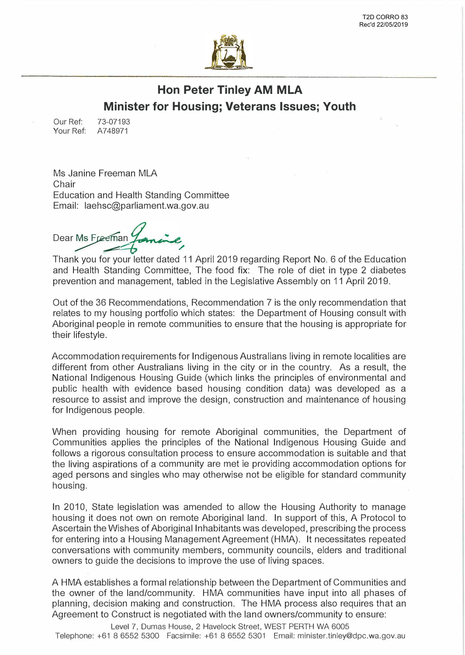

## **Hon Peter Tinley AM MLA Minister for Housing; Veterans Issues; Youth**

Our Ref: 73-07193 Your Ref: A748971

Ms Janine Freeman MLA Chair Education and Health Standing Committee Email: laehsc@parliament.wa.gov.au

Dear Ms Freeman

Thank you for your letter dated 11 April 2019 regarding Report No. 6 of the Education and Health Standing Committee, The food fix: The role of diet in type 2 diabetes prevention and management, tabled in the Legislative Assembly on 11 April 2019.

Out of the 36 Recommendations, Recommendation 7 is the only recommendation that relates to my housing portfolio which states: the Department of Housing consult with Aboriginal people in remote communities to ensure that the housing is appropriate for their lifestyle.

Accommodation requirements for Indigenous Australians living in remote localities are different from other Australians living in the city or in the country. As a result, the National Indigenous Housing Guide (which links the principles of environmental and public health with evidence based housing condition data) was developed as a resource to assist and improve the design, construction and maintenance of housing for Indigenous people.

When providing housing for remote Aboriginal communities, the Department of Communities applies the principles of the National Indigenous Housing Guide and follows a rigorous consultation process to ensure accommodation is suitable and that the living aspirations of a community are met ie providing accommodation options for aged persons and singles who may otherwise not be eligible for standard community housing.

In 2010, State legislation was amended to allow the Housing Authority to manage housing it does not own on remote Aboriginal land. In support of this, A Protocol to Ascertain the Wishes of Aboriginal Inhabitants was developed, prescribing the process for entering into a Housing Management Agreement (HMA). It necessitates repeated conversations with community members, community councils, elders and traditional owners to guide the decisions to improve the use of living spaces.

A HMA establishes a formal relationship between the Department of Communities and the owner of the land/community. HMA communities have input into all phases of planning, decision making and construction. The HMA process also requires that an Agreement to Construct is negotiated with the land owners/community to ensure: